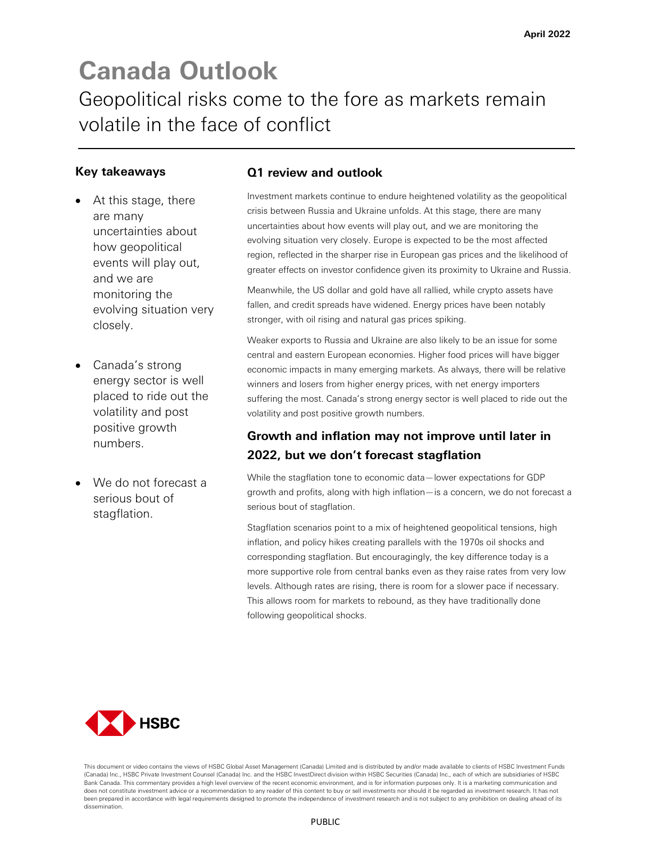# **Canada Outlook** Geopolitical risks come to the fore as markets remain volatile in the face of conflict

## **Key takeaways**

- At this stage, there are many uncertainties about how geopolitical events will play out, and we are monitoring the evolving situation very closely.
- Canada's strong energy sector is well placed to ride out the volatility and post positive growth numbers.
- We do not forecast a serious bout of stagflation.

## **Q1 review and outlook**

Investment markets continue to endure heightened volatility as the geopolitical crisis between Russia and Ukraine unfolds. At this stage, there are many uncertainties about how events will play out, and we are monitoring the evolving situation very closely. Europe is expected to be the most affected region, reflected in the sharper rise in European gas prices and the likelihood of greater effects on investor confidence given its proximity to Ukraine and Russia.

Meanwhile, the US dollar and gold have all rallied, while crypto assets have fallen, and credit spreads have widened. Energy prices have been notably stronger, with oil rising and natural gas prices spiking.

Weaker exports to Russia and Ukraine are also likely to be an issue for some central and eastern European economies. Higher food prices will have bigger economic impacts in many emerging markets. As always, there will be relative winners and losers from higher energy prices, with net energy importers suffering the most. Canada's strong energy sector is well placed to ride out the volatility and post positive growth numbers.

## **Growth and inflation may not improve until later in 2022, but we don't forecast stagflation**

While the stagflation tone to economic data—lower expectations for GDP growth and profits, along with high inflation—is a concern, we do not forecast a serious bout of stagflation.

Stagflation scenarios point to a mix of heightened geopolitical tensions, high inflation, and policy hikes creating parallels with the 1970s oil shocks and corresponding stagflation. But encouragingly, the key difference today is a more supportive role from central banks even as they raise rates from very low levels. Although rates are rising, there is room for a slower pace if necessary. This allows room for markets to rebound, as they have traditionally done following geopolitical shocks.



This document or video contains the views of HSBC Global Asset Management (Canada) Limited and is distributed by and/or made available to clients of HSBC Investment Funds (Canada) Inc., HSBC Private Investment Counsel (Canada) Inc. and the HSBC InvestDirect division within HSBC Securities (Canada) Inc., each of which are subsidiaries of HSBC Bank Canada. This commentary provides a high level overview of the recent economic environment, and is for information purposes only. It is a marketing communication and does not constitute investment advice or a recommendation to any reader of this content to buy or sell investments nor should it be regarded as investment research. It has not been prepared in accordance with legal requirements designed to promote the independence of investment research and is not subject to any prohibition on dealing ahead of its dissemination.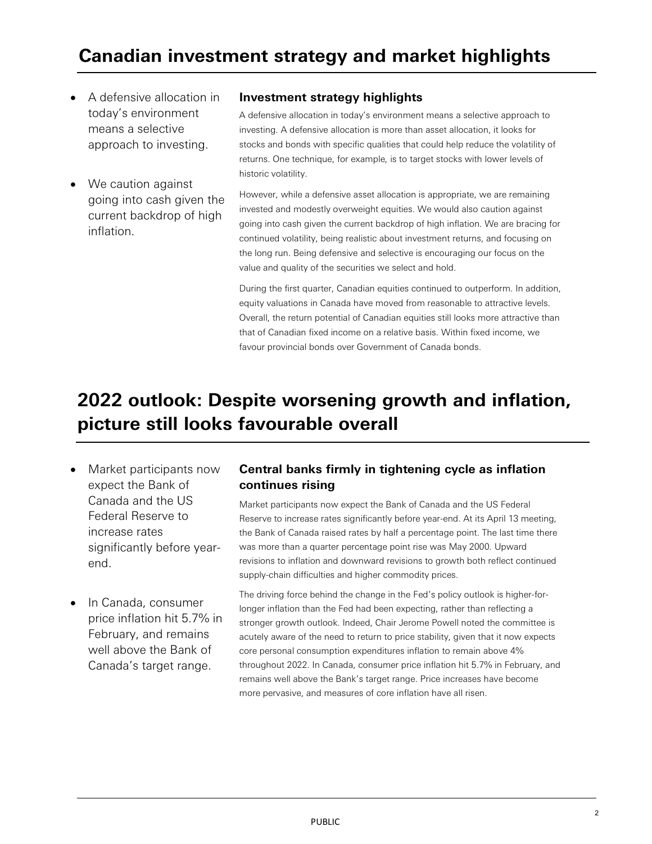- A defensive allocation in today's environment means a selective approach to investing.
- We caution against going into cash given the current backdrop of high inflation.

### **Investment strategy highlights**

A defensive allocation in today's environment means a selective approach to investing. A defensive allocation is more than asset allocation, it looks for stocks and bonds with specific qualities that could help reduce the volatility of returns. One technique, for example, is to target stocks with lower levels of historic volatility.

However, while a defensive asset allocation is appropriate, we are remaining invested and modestly overweight equities. We would also caution against going into cash given the current backdrop of high inflation. We are bracing for continued volatility, being realistic about investment returns, and focusing on the long run. Being defensive and selective is encouraging our focus on the value and quality of the securities we select and hold.

During the first quarter, Canadian equities continued to outperform. In addition, equity valuations in Canada have moved from reasonable to attractive levels. Overall, the return potential of Canadian equities still looks more attractive than that of Canadian fixed income on a relative basis. Within fixed income, we favour provincial bonds over Government of Canada bonds.

## **2022 outlook: Despite worsening growth and inflation, picture still looks favourable overall**

- Market participants now expect the Bank of Canada and the US Federal Reserve to increase rates significantly before yearend.
- In Canada, consumer price inflation hit 5.7% in February, and remains well above the Bank of Canada's target range.

## **Central banks firmly in tightening cycle as inflation continues rising**

Market participants now expect the Bank of Canada and the US Federal Reserve to increase rates significantly before year-end. At its April 13 meeting, the Bank of Canada raised rates by half a percentage point. The last time there was more than a quarter percentage point rise was May 2000. Upward revisions to inflation and downward revisions to growth both reflect continued supply-chain difficulties and higher commodity prices.

The driving force behind the change in the Fed's policy outlook is higher-forlonger inflation than the Fed had been expecting, rather than reflecting a stronger growth outlook. Indeed, Chair Jerome Powell noted the committee is acutely aware of the need to return to price stability, given that it now expects core personal consumption expenditures inflation to remain above 4% throughout 2022. In Canada, consumer price inflation hit 5.7% in February, and remains well above the Bank's target range. Price increases have become more pervasive, and measures of core inflation have all risen.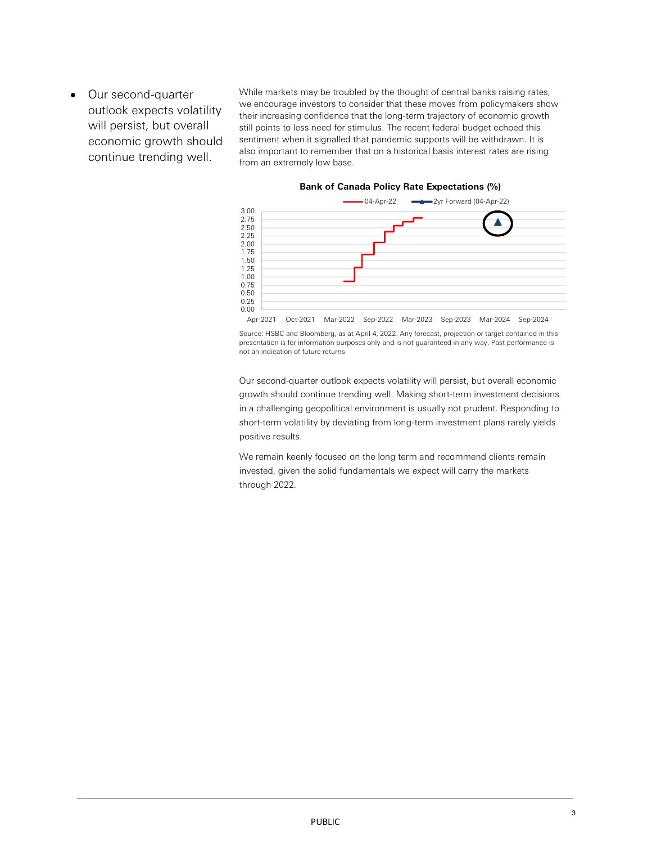• Our second-quarter outlook expects volatility will persist, but overall economic growth should continue trending well.

While markets may be troubled by the thought of central banks raising rates, we encourage investors to consider that these moves from policymakers show their increasing confidence that the long-term trajectory of economic growth still points to less need for stimulus. The recent federal budget echoed this sentiment when it signalled that pandemic supports will be withdrawn. It is also important to remember that on a historical basis interest rates are rising from an extremely low base.

#### **Bank of Canada Policy Rate Expectations (%)**



Source: HSBC and Bloomberg, as at April 4, 2022. Any forecast, projection or target contained in this presentation is for information purposes only and is not guaranteed in any way. Past performance is not an indication of future returns.

Our second-quarter outlook expects volatility will persist, but overall economic growth should continue trending well. Making short-term investment decisions in a challenging geopolitical environment is usually not prudent. Responding to short-term volatility by deviating from long-term investment plans rarely yields positive results.

We remain keenly focused on the long term and recommend clients remain invested, given the solid fundamentals we expect will carry the markets through 2022.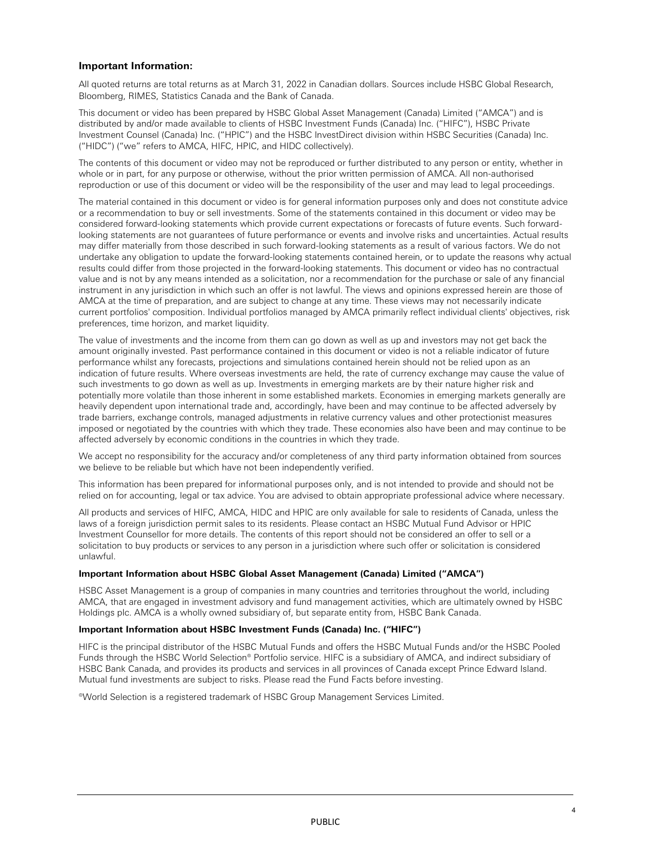#### **Important Information:**

All quoted returns are total returns as at March 31, 2022 in Canadian dollars. Sources include HSBC Global Research, Bloomberg, RIMES, Statistics Canada and the Bank of Canada.

This document or video has been prepared by HSBC Global Asset Management (Canada) Limited ("AMCA") and is distributed by and/or made available to clients of HSBC Investment Funds (Canada) Inc. ("HIFC"), HSBC Private Investment Counsel (Canada) Inc. ("HPIC") and the HSBC InvestDirect division within HSBC Securities (Canada) Inc. ("HIDC") ("we" refers to AMCA, HIFC, HPIC, and HIDC collectively).

The contents of this document or video may not be reproduced or further distributed to any person or entity, whether in whole or in part, for any purpose or otherwise, without the prior written permission of AMCA. All non-authorised reproduction or use of this document or video will be the responsibility of the user and may lead to legal proceedings.

The material contained in this document or video is for general information purposes only and does not constitute advice or a recommendation to buy or sell investments. Some of the statements contained in this document or video may be considered forward-looking statements which provide current expectations or forecasts of future events. Such forwardlooking statements are not guarantees of future performance or events and involve risks and uncertainties. Actual results may differ materially from those described in such forward-looking statements as a result of various factors. We do not undertake any obligation to update the forward-looking statements contained herein, or to update the reasons why actual results could differ from those projected in the forward-looking statements. This document or video has no contractual value and is not by any means intended as a solicitation, nor a recommendation for the purchase or sale of any financial instrument in any jurisdiction in which such an offer is not lawful. The views and opinions expressed herein are those of AMCA at the time of preparation, and are subject to change at any time. These views may not necessarily indicate current portfolios' composition. Individual portfolios managed by AMCA primarily reflect individual clients' objectives, risk preferences, time horizon, and market liquidity.

The value of investments and the income from them can go down as well as up and investors may not get back the amount originally invested. Past performance contained in this document or video is not a reliable indicator of future performance whilst any forecasts, projections and simulations contained herein should not be relied upon as an indication of future results. Where overseas investments are held, the rate of currency exchange may cause the value of such investments to go down as well as up. Investments in emerging markets are by their nature higher risk and potentially more volatile than those inherent in some established markets. Economies in emerging markets generally are heavily dependent upon international trade and, accordingly, have been and may continue to be affected adversely by trade barriers, exchange controls, managed adjustments in relative currency values and other protectionist measures imposed or negotiated by the countries with which they trade. These economies also have been and may continue to be affected adversely by economic conditions in the countries in which they trade.

We accept no responsibility for the accuracy and/or completeness of any third party information obtained from sources we believe to be reliable but which have not been independently verified.

This information has been prepared for informational purposes only, and is not intended to provide and should not be relied on for accounting, legal or tax advice. You are advised to obtain appropriate professional advice where necessary.

All products and services of HIFC, AMCA, HIDC and HPIC are only available for sale to residents of Canada, unless the laws of a foreign jurisdiction permit sales to its residents. Please contact an HSBC Mutual Fund Advisor or HPIC Investment Counsellor for more details. The contents of this report should not be considered an offer to sell or a solicitation to buy products or services to any person in a jurisdiction where such offer or solicitation is considered unlawful.

#### **Important Information about HSBC Global Asset Management (Canada) Limited ("AMCA")**

HSBC Asset Management is a group of companies in many countries and territories throughout the world, including AMCA, that are engaged in investment advisory and fund management activities, which are ultimately owned by HSBC Holdings plc. AMCA is a wholly owned subsidiary of, but separate entity from, HSBC Bank Canada.

#### **Important Information about HSBC Investment Funds (Canada) Inc. ("HIFC")**

HIFC is the principal distributor of the HSBC Mutual Funds and offers the HSBC Mutual Funds and/or the HSBC Pooled Funds through the HSBC World Selection® Portfolio service. HIFC is a subsidiary of AMCA, and indirect subsidiary of HSBC Bank Canada, and provides its products and services in all provinces of Canada except Prince Edward Island. Mutual fund investments are subject to risks. Please read the Fund Facts before investing.

®World Selection is a registered trademark of HSBC Group Management Services Limited.